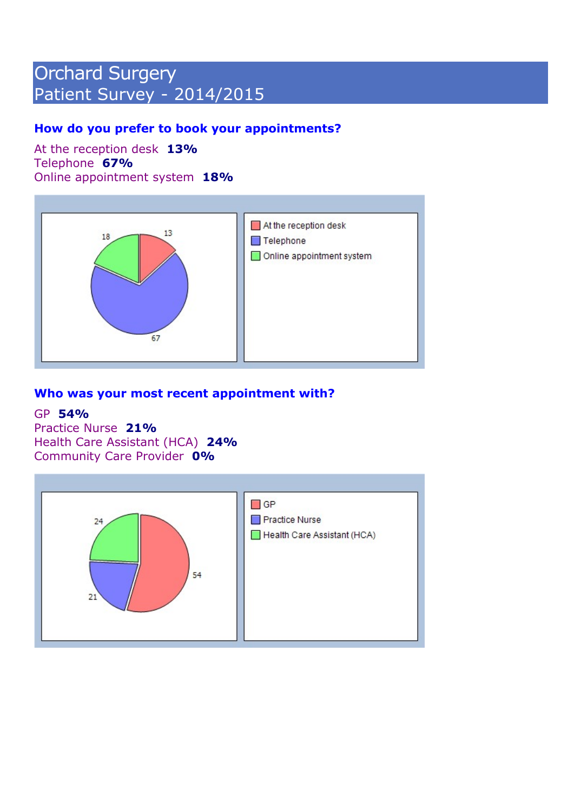# Orchard Surgery Patient Survey - 2014/2015

## How do you prefer to book your appointments?

At the reception desk 13% Telephone 67% Online appointment system 18%



## Who was your most recent appointment with?

#### GP 54%

Practice Nurse 21% Health Care Assistant (HCA) 24% Community Care Provider 0%

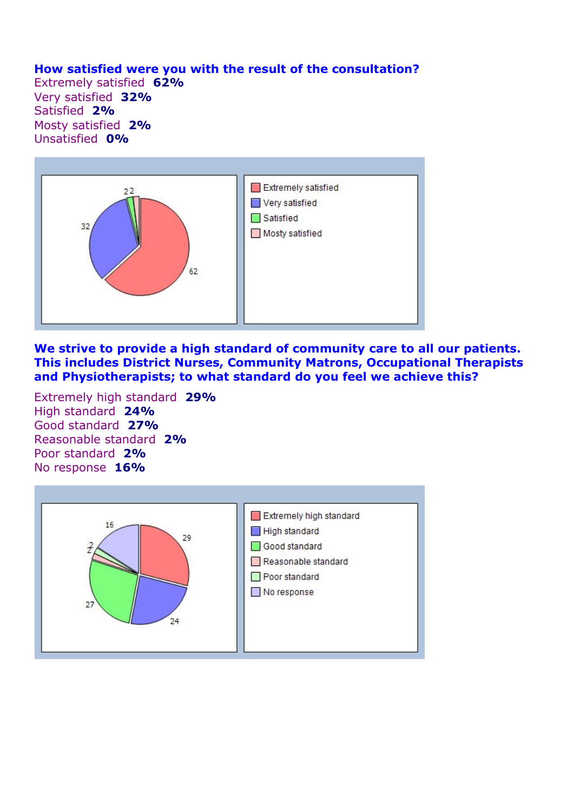## How satisfied were you with the result of the consultation?

Extremely satisfied 62% Very satisfied 32% Satisfied 2% Mosty satisfied 2% Unsatisfied 0%



We strive to provide a high standard of community care to all our patients. This includes District Nurses, Community Matrons, Occupational Therapists and Physiotherapists; to what standard do you feel we achieve this?

Extremely high standard 29% High standard 24% Good standard 27% Reasonable standard 2% Poor standard 2% No response 16%

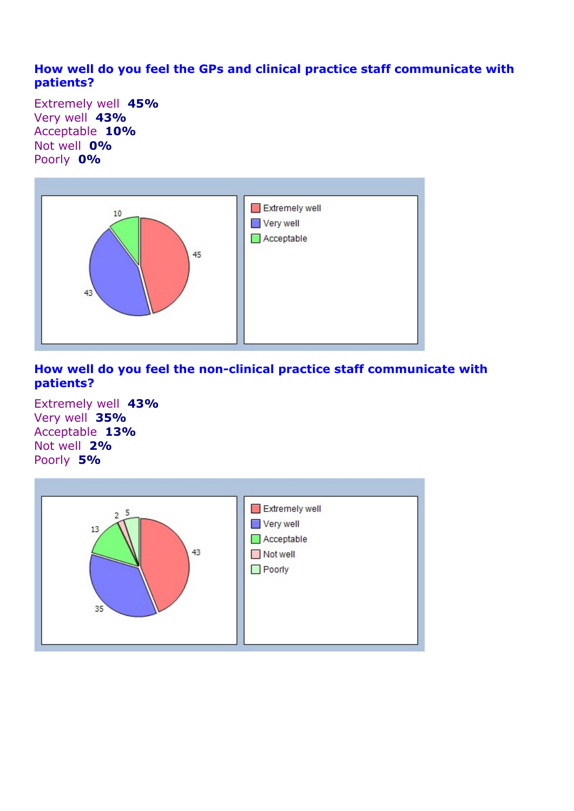## How well do you feel the GPs and clinical practice staff communicate with patients?

Extremely well 45% Very well 43% Acceptable 10% Not well **0%** Poorly 0%



## How well do you feel the non-clinical practice staff communicate with patients?

Extremely well 43% Very well 35% Acceptable 13% Not well 2% Poorly 5%

| 5              | Extremely well |
|----------------|----------------|
| $\overline{2}$ | Very well      |
| 13             | Acceptable     |
| 43             | Not well       |
| 35             | $\Box$ Poorly  |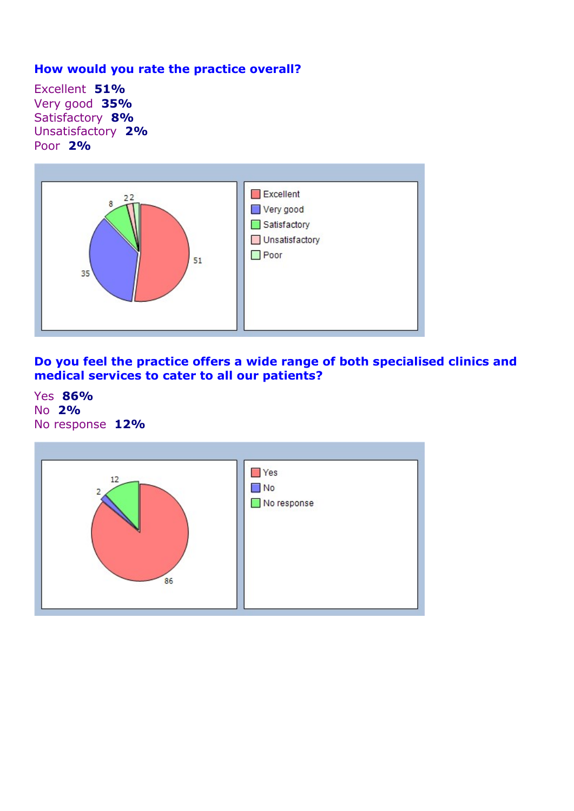## How would you rate the practice overall?

Excellent 51% Very good 35% Satisfactory 8% Unsatisfactory 2% Poor 2%



Do you feel the practice offers a wide range of both specialised clinics and medical services to cater to all our patients?

Yes 86% No 2% No response 12%

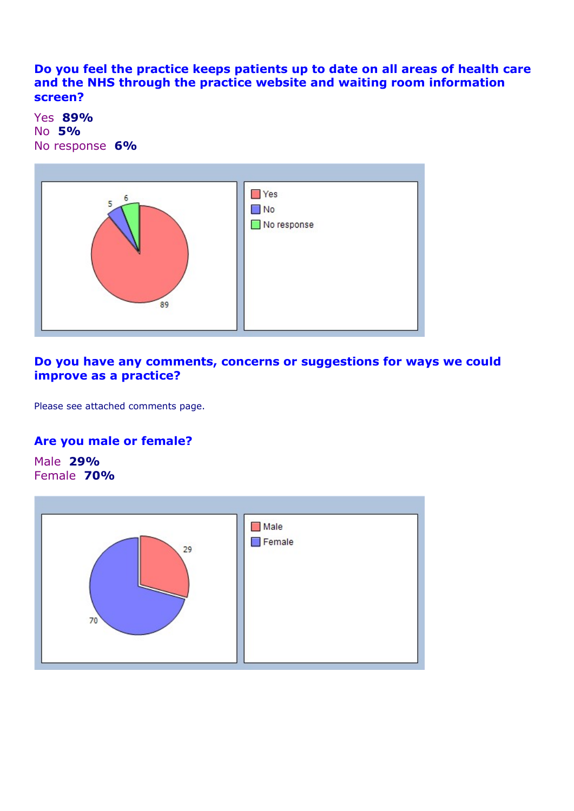Do you feel the practice keeps patients up to date on all areas of health care and the NHS through the practice website and waiting room information screen?

Yes 89% No 5% No response 6%



## Do you have any comments, concerns or suggestions for ways we could improve as a practice?

Please see attached comments page.

### Are you male or female?

Male 29% Female 70%